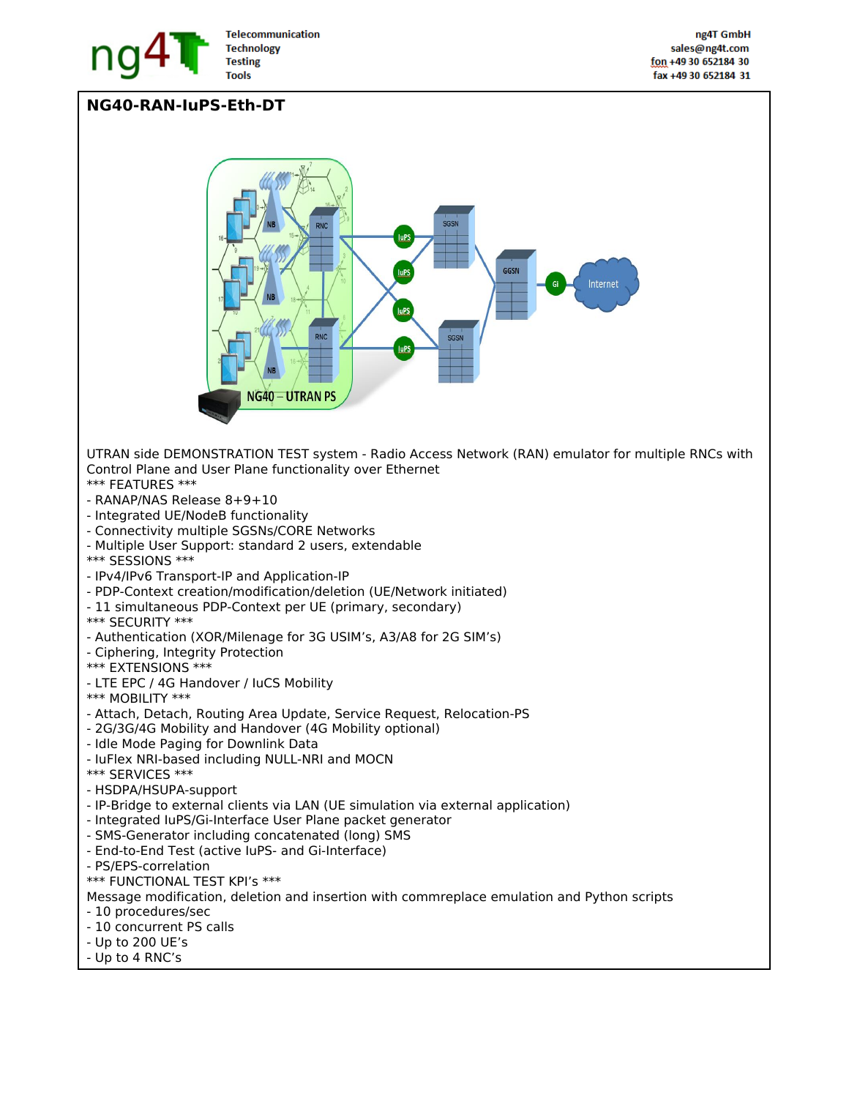

## **NG40-RAN-IuPS-Eth-DT**

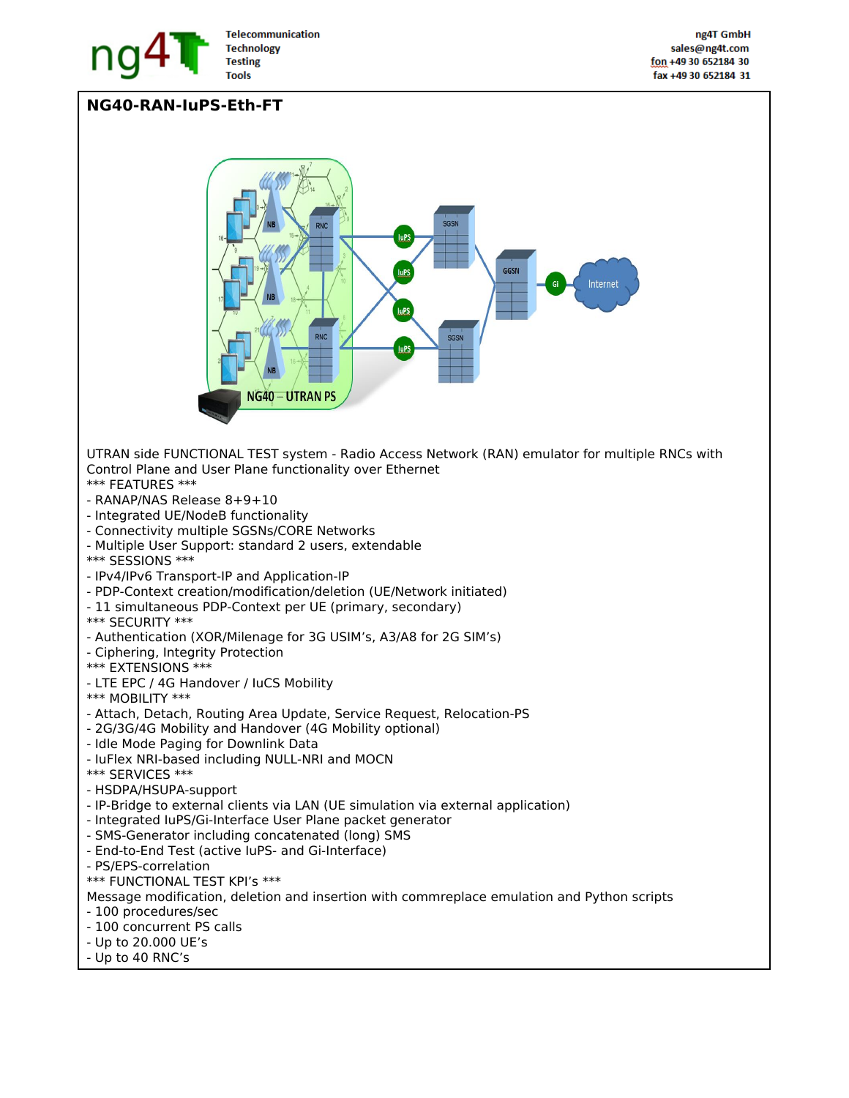

## **NG40-RAN-IuPS-Eth-FT**